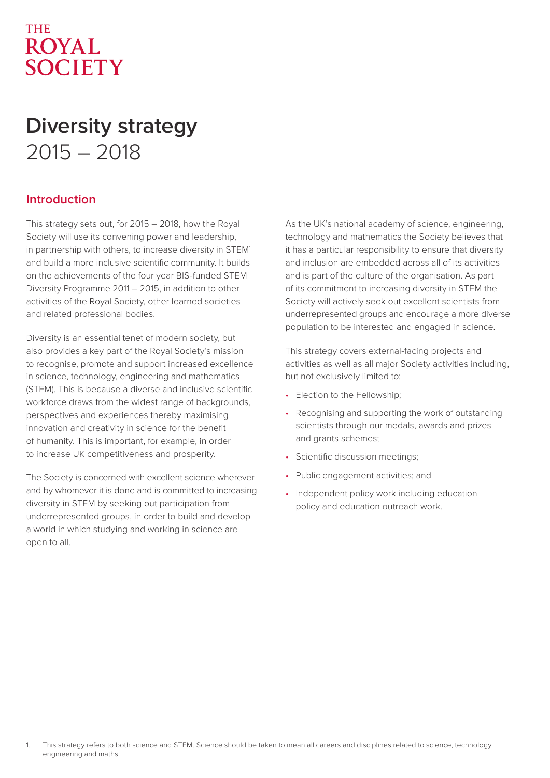# **THE ROYAL SOCIETY**

# **Diversity strategy**  2015 – 2018

# **Introduction**

This strategy sets out, for 2015 – 2018, how the Royal Society will use its convening power and leadership, in partnership with others, to increase diversity in STEM<sup>1</sup> and build a more inclusive scientific community. It builds on the achievements of the four year BIS-funded STEM Diversity Programme 2011 – 2015, in addition to other activities of the Royal Society, other learned societies and related professional bodies.

Diversity is an essential tenet of modern society, but also provides a key part of the Royal Society's mission to recognise, promote and support increased excellence in science, technology, engineering and mathematics (STEM). This is because a diverse and inclusive scientific workforce draws from the widest range of backgrounds, perspectives and experiences thereby maximising innovation and creativity in science for the benefit of humanity. This is important, for example, in order to increase UK competitiveness and prosperity.

The Society is concerned with excellent science wherever and by whomever it is done and is committed to increasing diversity in STEM by seeking out participation from underrepresented groups, in order to build and develop a world in which studying and working in science are open to all.

As the UK's national academy of science, engineering, technology and mathematics the Society believes that it has a particular responsibility to ensure that diversity and inclusion are embedded across all of its activities and is part of the culture of the organisation. As part of its commitment to increasing diversity in STEM the Society will actively seek out excellent scientists from underrepresented groups and encourage a more diverse population to be interested and engaged in science.

This strategy covers external-facing projects and activities as well as all major Society activities including, but not exclusively limited to:

- Election to the Fellowship;
- Recognising and supporting the work of outstanding scientists through our medals, awards and prizes and grants schemes;
- Scientific discussion meetings;
- Public engagement activities; and
- Independent policy work including education policy and education outreach work.

<sup>1.</sup> This strategy refers to both science and STEM. Science should be taken to mean all careers and disciplines related to science, technology, engineering and maths.